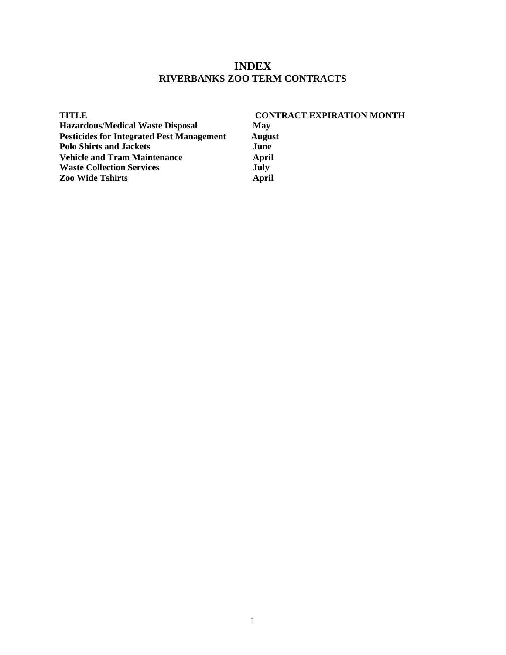### **INDEX RIVERBANKS ZOO TERM CONTRACTS**

| <b>TITLE</b>                                     | <b>CONTRACT EXPIRATION MONTH</b> |
|--------------------------------------------------|----------------------------------|
| <b>Hazardous/Medical Waste Disposal</b>          | May                              |
| <b>Pesticides for Integrated Pest Management</b> | <b>August</b>                    |
| <b>Polo Shirts and Jackets</b>                   | June                             |
| <b>Vehicle and Tram Maintenance</b>              | April                            |
| <b>Waste Collection Services</b>                 | July                             |
| <b>Zoo Wide Tshirts</b>                          | April                            |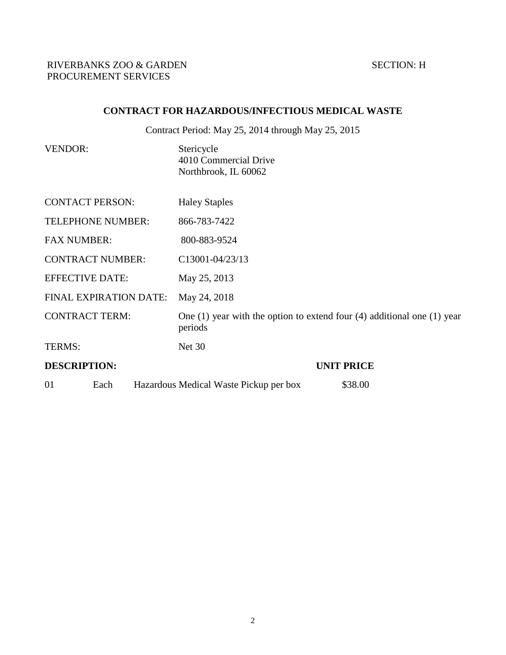# **CONTRACT FOR HAZARDOUS/INFECTIOUS MEDICAL WASTE**

Contract Period: May 25, 2014 through May 25, 2015

VENDOR: Stericycle 4010 Commercial Drive Northbrook, IL 60062

| <b>CONTACT PERSON:</b>   | <b>Haley Staples</b>                                                                     |
|--------------------------|------------------------------------------------------------------------------------------|
| <b>TELEPHONE NUMBER:</b> | 866-783-7422                                                                             |
| <b>FAX NUMBER:</b>       | 800-883-9524                                                                             |
| <b>CONTRACT NUMBER:</b>  | C13001-04/23/13                                                                          |
| <b>EFFECTIVE DATE:</b>   | May 25, 2013                                                                             |
| FINAL EXPIRATION DATE:   | May 24, 2018                                                                             |
| <b>CONTRACT TERM:</b>    | One $(1)$ year with the option to extend four $(4)$ additional one $(1)$ year<br>periods |
| TERMS:                   | <b>Net 30</b>                                                                            |
| <b>DESCRIPTION:</b>      | <b>UNIT PRICE</b>                                                                        |
| 01<br>Each               | \$38.00<br>Hazardous Medical Waste Pickup per box                                        |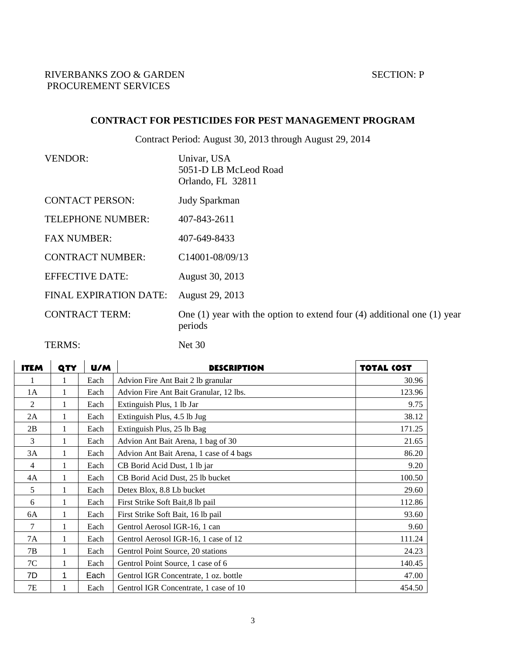# **CONTRACT FOR PESTICIDES FOR PEST MANAGEMENT PROGRAM**

Contract Period: August 30, 2013 through August 29, 2014

| <b>VENDOR:</b>                | Univar, USA<br>5051-D LB McLeod Road<br>Orlando, FL 32811                                |
|-------------------------------|------------------------------------------------------------------------------------------|
| <b>CONTACT PERSON:</b>        | <b>Judy Sparkman</b>                                                                     |
| TELEPHONE NUMBER:             | 407-843-2611                                                                             |
| <b>FAX NUMBER:</b>            | 407-649-8433                                                                             |
| <b>CONTRACT NUMBER:</b>       | C14001-08/09/13                                                                          |
| <b>EFFECTIVE DATE:</b>        | August 30, 2013                                                                          |
| <b>FINAL EXPIRATION DATE:</b> | August 29, 2013                                                                          |
| <b>CONTRACT TERM:</b>         | One $(1)$ year with the option to extend four $(4)$ additional one $(1)$ year<br>periods |
|                               |                                                                                          |

TERMS: Net 30

| <b>ITEM</b>    | QTY | U/M  | <b>DESCRIPTION</b>                      | <b>TOTAL (OST</b> |
|----------------|-----|------|-----------------------------------------|-------------------|
|                | 1   | Each | Advion Fire Ant Bait 2 lb granular      | 30.96             |
| 1A             | 1   | Each | Advion Fire Ant Bait Granular, 12 lbs.  | 123.96            |
| 2              | 1   | Each | Extinguish Plus, 1 lb Jar               | 9.75              |
| 2A             | 1   | Each | Extinguish Plus, 4.5 lb Jug             | 38.12             |
| 2B             | 1   | Each | Extinguish Plus, 25 lb Bag              | 171.25            |
| 3              | 1   | Each | Advion Ant Bait Arena, 1 bag of 30      | 21.65             |
| 3A             | 1   | Each | Advion Ant Bait Arena, 1 case of 4 bags | 86.20             |
| $\overline{4}$ | 1   | Each | CB Borid Acid Dust, 1 lb jar            | 9.20              |
| 4Α             | 1   | Each | CB Borid Acid Dust, 25 lb bucket        | 100.50            |
| 5              | 1   | Each | Detex Blox, 8.8 Lb bucket               | 29.60             |
| 6              | 1   | Each | First Strike Soft Bait, 8 lb pail       | 112.86            |
| 6A             | 1   | Each | First Strike Soft Bait, 16 lb pail      | 93.60             |
| 7              | 1   | Each | Gentrol Aerosol IGR-16, 1 can           | 9.60              |
| 7A             | 1   | Each | Gentrol Aerosol IGR-16, 1 case of 12    | 111.24            |
| 7B             | 1   | Each | Gentrol Point Source, 20 stations       | 24.23             |
| 7C             | 1   | Each | Gentrol Point Source, 1 case of 6       | 140.45            |
| 7D             | 1   | Each | Gentrol IGR Concentrate, 1 oz. bottle   | 47.00             |
| 7E             | 1   | Each | Gentrol IGR Concentrate, 1 case of 10   | 454.50            |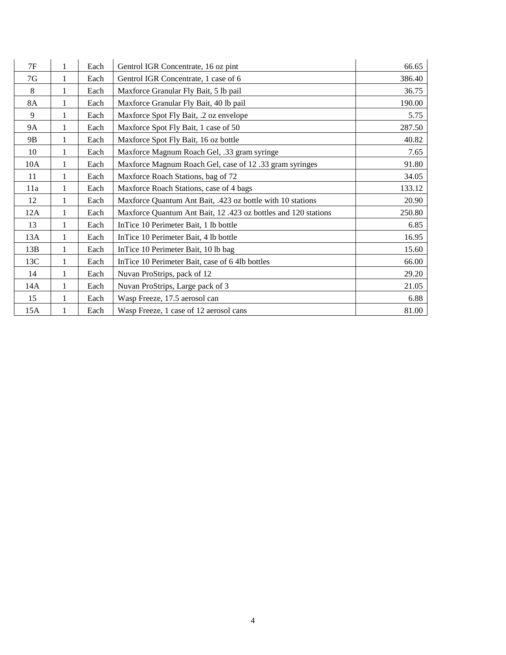| 7F        | 1 | Each | Gentrol IGR Concentrate, 16 oz pint                            | 66.65  |
|-----------|---|------|----------------------------------------------------------------|--------|
| 7G        | 1 | Each | Gentrol IGR Concentrate, 1 case of 6                           | 386.40 |
| 8         |   | Each | Maxforce Granular Fly Bait, 5 lb pail                          | 36.75  |
| <b>8A</b> | 1 | Each | Maxforce Granular Fly Bait, 40 lb pail                         | 190.00 |
| 9         |   | Each | Maxforce Spot Fly Bait, .2 oz envelope                         | 5.75   |
| <b>9A</b> |   | Each | Maxforce Spot Fly Bait, 1 case of 50                           | 287.50 |
| 9B        |   | Each | Maxforce Spot Fly Bait, 16 oz bottle                           | 40.82  |
| 10        |   | Each | Maxforce Magnum Roach Gel, .33 gram syringe                    | 7.65   |
| 10A       | 1 | Each | Maxforce Magnum Roach Gel, case of 12 .33 gram syringes        | 91.80  |
| 11        | 1 | Each | Maxforce Roach Stations, bag of 72                             | 34.05  |
| 11a       |   | Each | Maxforce Roach Stations, case of 4 bags                        | 133.12 |
| 12        |   | Each | Maxforce Quantum Ant Bait, .423 oz bottle with 10 stations     | 20.90  |
| 12A       | 1 | Each | Maxforce Quantum Ant Bait, 12 .423 oz bottles and 120 stations | 250.80 |
| 13        |   | Each | InTice 10 Perimeter Bait, 1 lb bottle                          | 6.85   |
| 13A       |   | Each | InTice 10 Perimeter Bait, 4 lb bottle                          | 16.95  |
| 13B       | 1 | Each | InTice 10 Perimeter Bait, 10 lb bag                            | 15.60  |
| 13C       |   | Each | InTice 10 Perimeter Bait, case of 6 4lb bottles                | 66.00  |
| 14        | 1 | Each | Nuvan ProStrips, pack of 12                                    | 29.20  |
| 14A       | 1 | Each | Nuvan ProStrips, Large pack of 3                               | 21.05  |
| 15        |   | Each | Wasp Freeze, 17.5 aerosol can                                  | 6.88   |
| 15A       |   | Each | Wasp Freeze, 1 case of 12 aerosol cans                         | 81.00  |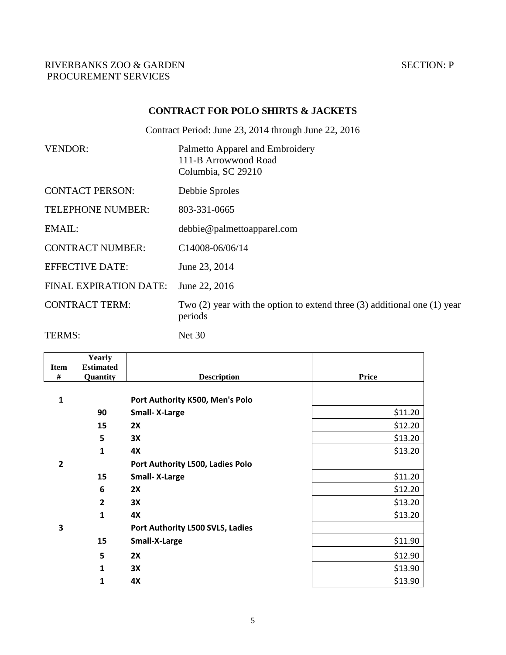### **CONTRACT FOR POLO SHIRTS & JACKETS**

Contract Period: June 23, 2014 through June 22, 2016

| <b>VENDOR:</b>                | Palmetto Apparel and Embroidery<br>111-B Arrowwood Road<br>Columbia, SC 29210             |
|-------------------------------|-------------------------------------------------------------------------------------------|
| <b>CONTACT PERSON:</b>        | Debbie Sproles                                                                            |
| TELEPHONE NUMBER:             | 803-331-0665                                                                              |
| EMAIL:                        | debbie@palmettoapparel.com                                                                |
| <b>CONTRACT NUMBER:</b>       | C14008-06/06/14                                                                           |
| <b>EFFECTIVE DATE:</b>        | June 23, 2014                                                                             |
| <b>FINAL EXPIRATION DATE:</b> | June 22, 2016                                                                             |
| <b>CONTRACT TERM:</b>         | Two $(2)$ year with the option to extend three $(3)$ additional one $(1)$ year<br>periods |

TERMS: Net 30

| <b>Item</b>    | Yearly<br><b>Estimated</b> |                                  |              |
|----------------|----------------------------|----------------------------------|--------------|
| $\#$           | Quantity                   | <b>Description</b>               | <b>Price</b> |
|                |                            |                                  |              |
| $\mathbf{1}$   |                            | Port Authority K500, Men's Polo  |              |
|                | 90                         | <b>Small-X-Large</b>             | \$11.20      |
|                | 15                         | 2X                               | \$12.20      |
|                | 5                          | 3X                               | \$13.20      |
|                | $\mathbf{1}$               | <b>4X</b>                        | \$13.20      |
| $\overline{2}$ |                            | Port Authority L500, Ladies Polo |              |
|                | 15                         | <b>Small-X-Large</b>             | \$11.20      |
|                | 6                          | 2X                               | \$12.20      |
|                | $\overline{2}$             | 3X                               | \$13.20      |
|                | $\mathbf{1}$               | <b>4X</b>                        | \$13.20      |
| 3              |                            | Port Authority L500 SVLS, Ladies |              |
|                | 15                         | Small-X-Large                    | \$11.90      |
|                | 5                          | 2X                               | \$12.90      |
|                | 1                          | 3X                               | \$13.90      |
|                | 1                          | 4X                               | \$13.90      |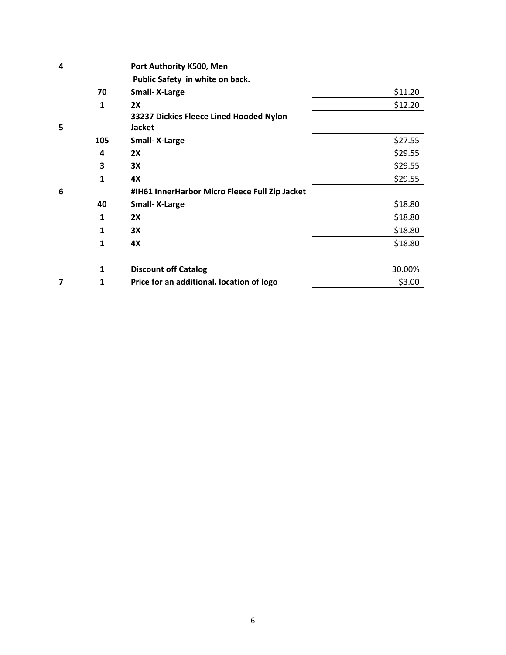| 4 |              | Port Authority K500, Men                       |         |
|---|--------------|------------------------------------------------|---------|
|   |              | Public Safety in white on back.                |         |
|   | 70           | <b>Small-X-Large</b>                           | \$11.20 |
|   | $\mathbf{1}$ | 2X                                             | \$12.20 |
|   |              | 33237 Dickies Fleece Lined Hooded Nylon        |         |
| 5 |              | Jacket                                         |         |
|   | 105          | <b>Small-X-Large</b>                           | \$27.55 |
|   | 4            | 2X                                             | \$29.55 |
|   | 3            | 3X                                             | \$29.55 |
|   | 1            | 4X                                             | \$29.55 |
| 6 |              | #IH61 InnerHarbor Micro Fleece Full Zip Jacket |         |
|   | 40           | <b>Small-X-Large</b>                           | \$18.80 |
|   | 1            | 2X                                             | \$18.80 |
|   | 1            | 3X                                             | \$18.80 |
|   | $\mathbf{1}$ | 4X                                             | \$18.80 |
|   |              |                                                |         |
|   | $\mathbf{1}$ | <b>Discount off Catalog</b>                    | 30.00%  |
| 7 | 1            | Price for an additional. location of logo      | \$3.00  |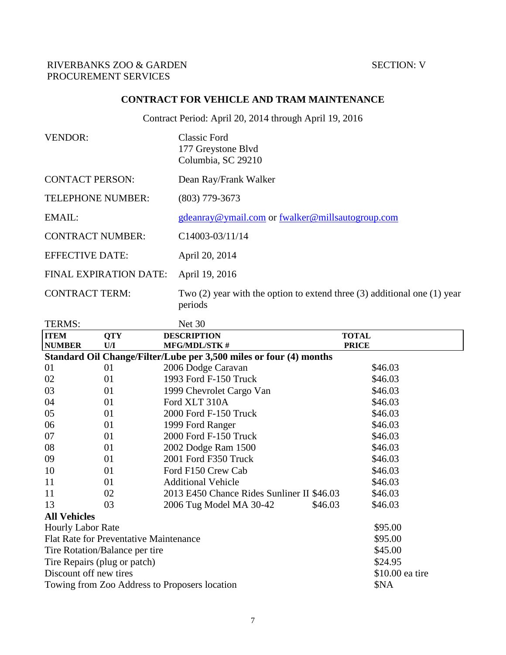### **CONTRACT FOR VEHICLE AND TRAM MAINTENANCE**

Contract Period: April 20, 2014 through April 19, 2016

| <b>VENDOR:</b>                | <b>Classic Ford</b><br>177 Greystone Blvd<br>Columbia, SC 29210                           |
|-------------------------------|-------------------------------------------------------------------------------------------|
| <b>CONTACT PERSON:</b>        | Dean Ray/Frank Walker                                                                     |
| <b>TELEPHONE NUMBER:</b>      | $(803)$ 779-3673                                                                          |
| EMAIL:                        | gdeanray@ymail.com or fwalker@millsautogroup.com                                          |
| <b>CONTRACT NUMBER:</b>       | $C14003-03/11/14$                                                                         |
| <b>EFFECTIVE DATE:</b>        | April 20, 2014                                                                            |
| <b>FINAL EXPIRATION DATE:</b> | April 19, 2016                                                                            |
| <b>CONTRACT TERM:</b>         | Two $(2)$ year with the option to extend three $(3)$ additional one $(1)$ year<br>periods |

| TERMS:                       |                                               | <b>Net 30</b>                                                      |         |                 |
|------------------------------|-----------------------------------------------|--------------------------------------------------------------------|---------|-----------------|
| <b>ITEM</b>                  | <b>QTY</b>                                    | <b>DESCRIPTION</b>                                                 |         | <b>TOTAL</b>    |
| <b>NUMBER</b>                | U/I                                           | <b>MFG/MDL/STK#</b>                                                |         | <b>PRICE</b>    |
|                              |                                               | Standard Oil Change/Filter/Lube per 3,500 miles or four (4) months |         |                 |
| 01                           | 01                                            | 2006 Dodge Caravan                                                 |         | \$46.03         |
| 02                           | 01                                            | 1993 Ford F-150 Truck                                              |         | \$46.03         |
| 03                           | 01                                            | 1999 Chevrolet Cargo Van                                           |         | \$46.03         |
| 04                           | 01                                            | Ford XLT 310A                                                      |         | \$46.03         |
| 05                           | 01                                            | 2000 Ford F-150 Truck                                              |         | \$46.03         |
| 06                           | 01                                            | 1999 Ford Ranger                                                   |         | \$46.03         |
| 07                           | 01                                            | 2000 Ford F-150 Truck                                              |         | \$46.03         |
| 08                           | 01                                            | 2002 Dodge Ram 1500                                                |         | \$46.03         |
| 09                           | 01                                            | 2001 Ford F350 Truck                                               |         | \$46.03         |
| 10                           | 01                                            | Ford F150 Crew Cab                                                 |         | \$46.03         |
| 11                           | 01                                            | <b>Additional Vehicle</b>                                          |         | \$46.03         |
| 11                           | 02                                            | 2013 E450 Chance Rides Sunliner II \$46.03                         |         | \$46.03         |
| 13                           | 03                                            | 2006 Tug Model MA 30-42                                            | \$46.03 | \$46.03         |
| <b>All Vehicles</b>          |                                               |                                                                    |         |                 |
| <b>Hourly Labor Rate</b>     |                                               |                                                                    |         | \$95.00         |
|                              | <b>Flat Rate for Preventative Maintenance</b> |                                                                    |         | \$95.00         |
|                              | Tire Rotation/Balance per tire                |                                                                    |         | \$45.00         |
| Tire Repairs (plug or patch) |                                               |                                                                    |         | \$24.95         |
| Discount off new tires       |                                               |                                                                    |         | \$10.00 ea tire |
|                              |                                               | Towing from Zoo Address to Proposers location                      |         | \$NA            |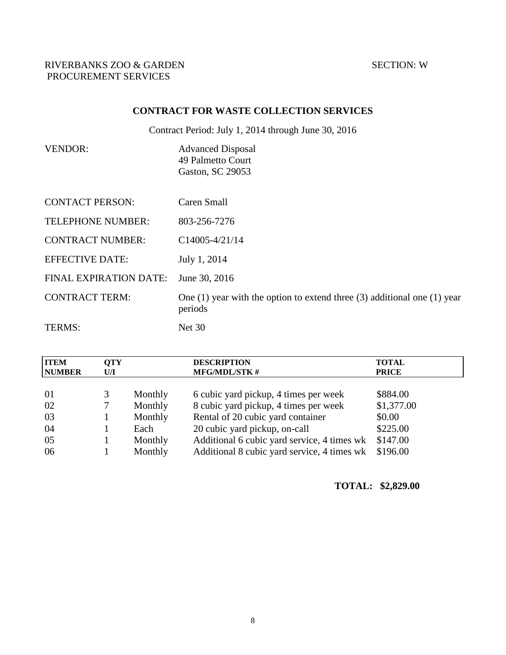# **CONTRACT FOR WASTE COLLECTION SERVICES**

Contract Period: July 1, 2014 through June 30, 2016

| VENDOR: | <b>Advanced Disposal</b> |
|---------|--------------------------|
|         | 49 Palmetto Court        |
|         | Gaston, SC 29053         |

| <b>CONTACT PERSON:</b>   | Caren Small                                                                               |
|--------------------------|-------------------------------------------------------------------------------------------|
| <b>TELEPHONE NUMBER:</b> | 803-256-7276                                                                              |
| <b>CONTRACT NUMBER:</b>  | $C14005 - 4/21/14$                                                                        |
| <b>EFFECTIVE DATE:</b>   | July 1, 2014                                                                              |
| FINAL EXPIRATION DATE:   | June 30, 2016                                                                             |
| <b>CONTRACT TERM:</b>    | One $(1)$ year with the option to extend three $(3)$ additional one $(1)$ year<br>periods |
| TERMS:                   | Net $30$                                                                                  |

| <b>ITEM</b><br><b>NUMBER</b> | <b>OTY</b><br>U/I |         | <b>DESCRIPTION</b><br><b>MFG/MDL/STK#</b>   | <b>TOTAL</b><br><b>PRICE</b> |
|------------------------------|-------------------|---------|---------------------------------------------|------------------------------|
| 01                           |                   | Monthly | 6 cubic yard pickup, 4 times per week       | \$884.00                     |
| 02                           |                   | Monthly | 8 cubic yard pickup, 4 times per week       | \$1,377.00                   |
| 03                           |                   | Monthly | Rental of 20 cubic yard container           | \$0.00                       |
| 04                           |                   | Each    | 20 cubic yard pickup, on-call               | \$225.00                     |
| 05                           |                   | Monthly | Additional 6 cubic yard service, 4 times wk | \$147.00                     |
| 06                           |                   | Monthly | Additional 8 cubic yard service, 4 times wk | \$196.00                     |

#### **TOTAL: \$2,829.00**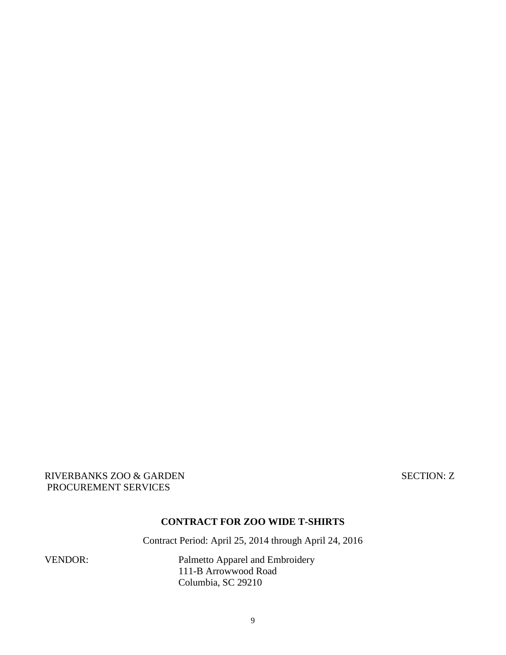RIVERBANKS ZOO & GARDEN SECTION: Z PROCUREMENT SERVICES

#### **CONTRACT FOR ZOO WIDE T-SHIRTS**

Contract Period: April 25, 2014 through April 24, 2016

VENDOR: Palmetto Apparel and Embroidery 111-B Arrowwood Road Columbia, SC 29210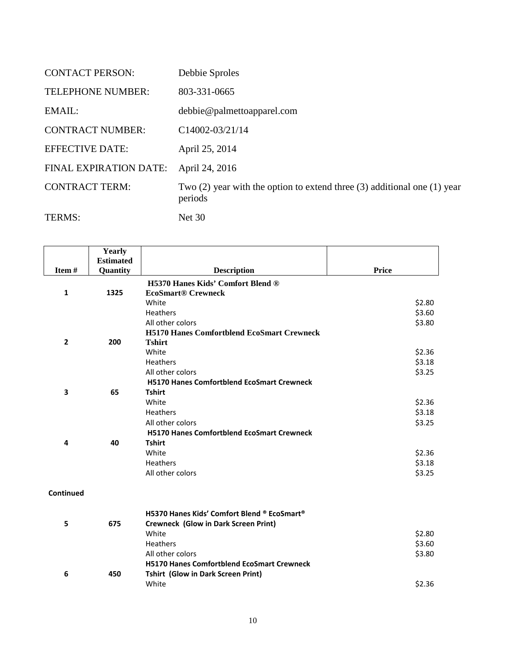| <b>CONTACT PERSON:</b>        | Debbie Sproles                                                                            |
|-------------------------------|-------------------------------------------------------------------------------------------|
| <b>TELEPHONE NUMBER:</b>      | 803-331-0665                                                                              |
| EMAIL:                        | debbie@palmettoapparel.com                                                                |
| <b>CONTRACT NUMBER:</b>       | $C14002 - 03/21/14$                                                                       |
| <b>EFFECTIVE DATE:</b>        | April 25, 2014                                                                            |
| <b>FINAL EXPIRATION DATE:</b> | April 24, 2016                                                                            |
| <b>CONTRACT TERM:</b>         | Two $(2)$ year with the option to extend three $(3)$ additional one $(1)$ year<br>periods |
| TERMS:                        | <b>Net 30</b>                                                                             |

|                | Yearly           |                                                      |              |
|----------------|------------------|------------------------------------------------------|--------------|
|                | <b>Estimated</b> |                                                      |              |
| Item#          | Quantity         | <b>Description</b>                                   | <b>Price</b> |
|                |                  | H5370 Hanes Kids' Comfort Blend ®                    |              |
| 1              | 1325             | <b>EcoSmart® Crewneck</b>                            |              |
|                |                  | White                                                | \$2.80       |
|                |                  | <b>Heathers</b>                                      | \$3.60       |
|                |                  | All other colors                                     | \$3.80       |
|                |                  | <b>H5170 Hanes Comfortblend EcoSmart Crewneck</b>    |              |
| $\overline{2}$ | 200              | <b>Tshirt</b>                                        |              |
|                |                  | White                                                | \$2.36       |
|                |                  | <b>Heathers</b>                                      | \$3.18       |
|                |                  | All other colors                                     | \$3.25       |
|                |                  | <b>H5170 Hanes Comfortblend EcoSmart Crewneck</b>    |              |
| 3              | 65               | <b>Tshirt</b>                                        |              |
|                |                  | White                                                | \$2.36       |
|                |                  | <b>Heathers</b>                                      | \$3.18       |
|                |                  | All other colors                                     | \$3.25       |
|                |                  | <b>H5170 Hanes Comfortblend EcoSmart Crewneck</b>    |              |
| 4              | 40               | <b>Tshirt</b>                                        |              |
|                |                  | White                                                | \$2.36       |
|                |                  | <b>Heathers</b>                                      | \$3.18       |
|                |                  | All other colors                                     | \$3.25       |
|                |                  |                                                      |              |
| Continued      |                  |                                                      |              |
|                |                  | H5370 Hanes Kids' Comfort Blend ® EcoSmart®          |              |
|                | 675              |                                                      |              |
| 5              |                  | <b>Crewneck (Glow in Dark Screen Print)</b><br>White |              |
|                |                  |                                                      | \$2.80       |
|                |                  | Heathers                                             | \$3.60       |
|                |                  | All other colors                                     | \$3.80       |
|                |                  | <b>H5170 Hanes Comfortblend EcoSmart Crewneck</b>    |              |
| 6              | 450              | <b>Tshirt (Glow in Dark Screen Print)</b>            |              |
|                |                  | White                                                | \$2.36       |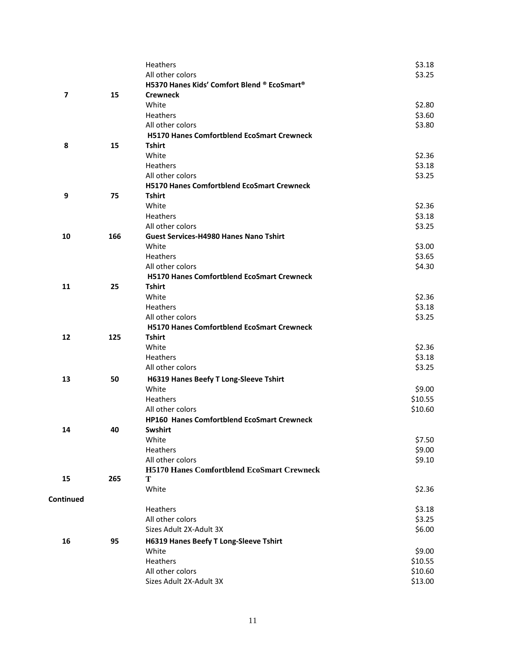|           |     | Heathers                                          | \$3.18  |
|-----------|-----|---------------------------------------------------|---------|
|           |     | All other colors                                  | \$3.25  |
|           |     | H5370 Hanes Kids' Comfort Blend ® EcoSmart®       |         |
| 7         | 15  | <b>Crewneck</b>                                   |         |
|           |     | White                                             | \$2.80  |
|           |     | Heathers                                          | \$3.60  |
|           |     | All other colors                                  | \$3.80  |
|           |     | <b>H5170 Hanes Comfortblend EcoSmart Crewneck</b> |         |
| 8         | 15  | <b>Tshirt</b>                                     |         |
|           |     | White                                             | \$2.36  |
|           |     | <b>Heathers</b>                                   | \$3.18  |
|           |     | All other colors                                  | \$3.25  |
|           |     | <b>H5170 Hanes Comfortblend EcoSmart Crewneck</b> |         |
| 9         | 75  | <b>Tshirt</b>                                     |         |
|           |     | White                                             | \$2.36  |
|           |     | <b>Heathers</b>                                   | \$3.18  |
|           |     | All other colors                                  | \$3.25  |
| 10        | 166 | <b>Guest Services-H4980 Hanes Nano Tshirt</b>     |         |
|           |     | White                                             | \$3.00  |
|           |     | <b>Heathers</b>                                   | \$3.65  |
|           |     | All other colors                                  | \$4.30  |
|           |     | <b>H5170 Hanes Comfortblend EcoSmart Crewneck</b> |         |
| 11        | 25  | <b>Tshirt</b>                                     |         |
|           |     | White                                             | \$2.36  |
|           |     | Heathers                                          | \$3.18  |
|           |     | All other colors                                  | \$3.25  |
|           |     | <b>H5170 Hanes Comfortblend EcoSmart Crewneck</b> |         |
| 12        | 125 | <b>Tshirt</b>                                     |         |
|           |     | White                                             | \$2.36  |
|           |     | <b>Heathers</b>                                   | \$3.18  |
|           |     | All other colors                                  | \$3.25  |
| 13        | 50  | H6319 Hanes Beefy T Long-Sleeve Tshirt            |         |
|           |     | White                                             | \$9.00  |
|           |     | <b>Heathers</b>                                   | \$10.55 |
|           |     | All other colors                                  | \$10.60 |
|           |     | HP160 Hanes Comfortblend EcoSmart Crewneck        |         |
| 14        | 40  | Swshirt                                           |         |
|           |     | White                                             | \$7.50  |
|           |     | Heathers                                          | \$9.00  |
|           |     | All other colors                                  | \$9.10  |
|           |     | <b>H5170 Hanes Comfortblend EcoSmart Crewneck</b> |         |
| 15        | 265 | T                                                 |         |
|           |     | White                                             | \$2.36  |
| Continued |     |                                                   |         |
|           |     | Heathers                                          | \$3.18  |
|           |     | All other colors                                  | \$3.25  |
|           |     | Sizes Adult 2X-Adult 3X                           | \$6.00  |
| 16        | 95  | H6319 Hanes Beefy T Long-Sleeve Tshirt            |         |
|           |     | White                                             | \$9.00  |
|           |     | Heathers                                          | \$10.55 |
|           |     | All other colors                                  | \$10.60 |
|           |     | Sizes Adult 2X-Adult 3X                           | \$13.00 |
|           |     |                                                   |         |